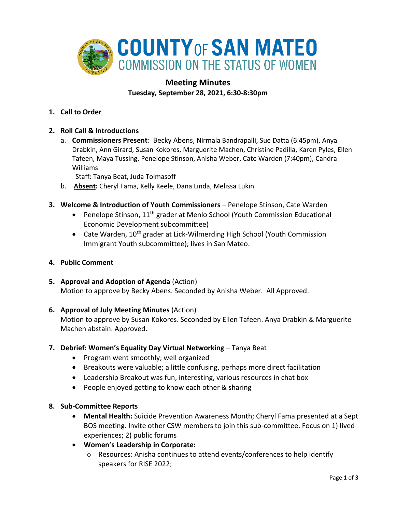

# **Meeting Minutes Tuesday, September 28, 2021, 6:30-8:30pm**

**1. Call to Order** 

## **2. Roll Call & Introductions**

a. **Commissioners Present**: Becky Abens, Nirmala Bandrapalli, Sue Datta (6:45pm), Anya Drabkin, Ann Girard, Susan Kokores, Marguerite Machen, Christine Padilla, Karen Pyles, Ellen Tafeen, Maya Tussing, Penelope Stinson, Anisha Weber, Cate Warden (7:40pm), Candra Williams

Staff: Tanya Beat, Juda Tolmasoff

- b. **Absent:** Cheryl Fama, Kelly Keele, Dana Linda, Melissa Lukin
- **3. Welcome & Introduction of Youth Commissioners** Penelope Stinson, Cate Warden
	- Penelope Stinson,  $11<sup>th</sup>$  grader at Menlo School (Youth Commission Educational Economic Development subcommittee)
	- Cate Warden, 10<sup>th</sup> grader at Lick-Wilmerding High School (Youth Commission Immigrant Youth subcommittee); lives in San Mateo.
- **4. Public Comment**
- **5. Approval and Adoption of Agenda** (Action) Motion to approve by Becky Abens. Seconded by Anisha Weber. All Approved.
- **6. Approval of July Meeting Minutes** (Action)

Motion to approve by Susan Kokores. Seconded by Ellen Tafeen. Anya Drabkin & Marguerite Machen abstain. Approved.

- **7. Debrief: Women's Equality Day Virtual Networking** Tanya Beat
	- Program went smoothly; well organized
	- Breakouts were valuable; a little confusing, perhaps more direct facilitation
	- Leadership Breakout was fun, interesting, various resources in chat box
	- People enjoyed getting to know each other & sharing
- **8. Sub-Committee Reports**
	- **Mental Health:** Suicide Prevention Awareness Month; Cheryl Fama presented at a Sept BOS meeting. Invite other CSW members to join this sub-committee. Focus on 1) lived experiences; 2) public forums
	- **Women's Leadership in Corporate:** 
		- o Resources: Anisha continues to attend events/conferences to help identify speakers for RISE 2022;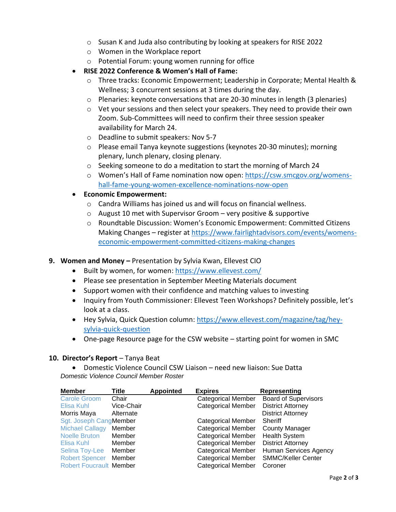- o Susan K and Juda also contributing by looking at speakers for RISE 2022
- o Women in the Workplace report
- o Potential Forum: young women running for office
- **RISE 2022 Conference & Women's Hall of Fame:** 
	- $\circ$  Three tracks: Economic Empowerment; Leadership in Corporate; Mental Health & Wellness; 3 concurrent sessions at 3 times during the day.
	- o Plenaries: keynote conversations that are 20-30 minutes in length (3 plenaries)
	- $\circ$  Vet your sessions and then select your speakers. They need to provide their own Zoom. Sub-Committees will need to confirm their three session speaker availability for March 24.
	- o Deadline to submit speakers: Nov 5-7
	- o Please email Tanya keynote suggestions (keynotes 20-30 minutes); morning plenary, lunch plenary, closing plenary.
	- o Seeking someone to do a meditation to start the morning of March 24
	- o Women's Hall of Fame nomination now open: [https://csw.smcgov.org/womens](https://csw.smcgov.org/womens-hall-fame-young-women-excellence-nominations-now-open)[hall-fame-young-women-excellence-nominations-now-open](https://csw.smcgov.org/womens-hall-fame-young-women-excellence-nominations-now-open)
- **Economic Empowerment:** 
	- o Candra Williams has joined us and will focus on financial wellness.
	- $\circ$  August 10 met with Supervisor Groom very positive & supportive
	- o Roundtable Discussion: Women's Economic Empowerment: Committed Citizens Making Changes – register at [https://www.fairlightadvisors.com/events/womens](https://www.fairlightadvisors.com/events/womens-economic-empowerment-committed-citizens-making-changes)[economic-empowerment-committed-citizens-making-changes](https://www.fairlightadvisors.com/events/womens-economic-empowerment-committed-citizens-making-changes)

## **9. Women and Money –** Presentation by Sylvia Kwan, Ellevest CIO

- Built by women, for women:<https://www.ellevest.com/>
- Please see presentation in September Meeting Materials document
- Support women with their confidence and matching values to investing
- Inquiry from Youth Commissioner: Ellevest Teen Workshops? Definitely possible, let's look at a class.
- Hey Sylvia, Quick Question column: [https://www.ellevest.com/magazine/tag/hey](https://www.ellevest.com/magazine/tag/hey-sylvia-quick-question)[sylvia-quick-question](https://www.ellevest.com/magazine/tag/hey-sylvia-quick-question)
- One-page Resource page for the CSW website starting point for women in SMC

## **10. Director's Report** – Tanya Beat

• Domestic Violence Council CSW Liaison – need new liaison: Sue Datta *Domestic Violence Council Member Roster*

| <b>Member</b>                  | Title      | <b>Appointed</b> | <b>Expires</b>            | <b>Representing</b>         |
|--------------------------------|------------|------------------|---------------------------|-----------------------------|
| <b>Carole Groom</b>            | Chair      |                  | <b>Categorical Member</b> | <b>Board of Supervisors</b> |
| Elisa Kuhl                     | Vice-Chair |                  | <b>Categorical Member</b> | <b>District Attorney</b>    |
| Morris Maya                    | Alternate  |                  |                           | <b>District Attorney</b>    |
| Sgt. Joseph CangMember         |            |                  | <b>Categorical Member</b> | Sheriff                     |
| <b>Michael Callagy</b>         | Member     |                  | <b>Categorical Member</b> | <b>County Manager</b>       |
| <b>Noelle Bruton</b>           | Member     |                  | <b>Categorical Member</b> | <b>Health System</b>        |
| Elisa Kuhl                     | Member     |                  | <b>Categorical Member</b> | <b>District Attorney</b>    |
| <b>Selina Toy-Lee</b>          | Member     |                  | <b>Categorical Member</b> | Human Services Agency       |
| <b>Robert Spencer</b>          | Member     |                  | <b>Categorical Member</b> | <b>SMMC/Keller Center</b>   |
| <b>Robert Foucrault Member</b> |            |                  | <b>Categorical Member</b> | Coroner                     |